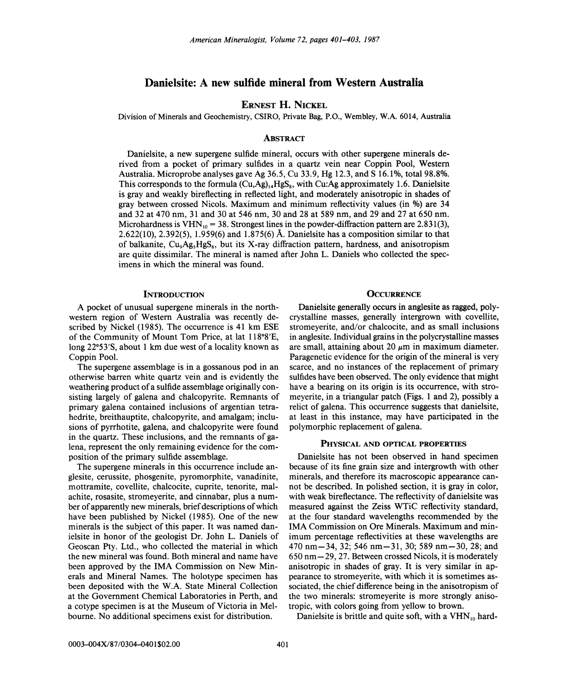# Danielsite: A new sulfide mineral from Western Australia

# ERNEST H. NICKEL

Division of Minerals and Geochemistry, CSIRO, Private Bag, P.O., Wembley, W.A. 6014, Australia

#### **ABSTRACT**

Danielsite, a new supergene sulfide mineral, occurs with other supergene minerals derived from a pocket of primary sulfides in a quartz vein near Coppin Pool, Western Australia. Microprobe analyses gave Ag 36.5, Cu 33.9, Hg 12.3, and S 16.1%, total 98.8%. This corresponds to the formula  $(Cu, Ag)_{14}HgS_8$ , with Cu:Ag approximately 1.6. Danielsite is gray and weakly bireflecting in reflected light, and moderately anisotropic in shades of gray between crossed Nicols. Maximum and minimum reflectivity values (in %) are 34 and 32 at 470 nm, 31 and 30 at 546 nm, 30 and 28 at 589 nm, and 29 and 27 at 650 nm. Microhardness is VHN<sub>10</sub> = 38. Strongest lines in the powder-diffraction pattern are 2.831(3), 2.622(10),2.392(5), 1.959(6) and 1.875(6) A. Danielsite has a composition similar to that of balkanite,  $Cu<sub>3</sub>Ag<sub>3</sub>HgS<sub>8</sub>$ , but its X-ray diffraction pattern, hardness, and anisotropism are quite dissimilar. The mineral is named after John L. Daniels who collected the specimens in which the mineral was found.

# **INTRODUCTION**

A pocket of unusual supergene minerals in the northwestern region of Western Australia was recently described by Nickel (1985). The occurrence is 41 km ESE of the Community of Mount Tom Price, at lat 118°8'E, long 22°53'S, about 1 km due west of a locality known as Coppin Pool.

The supergene assemblage is in a gossanous pod in an otherwise barren white quartz vein and is evidently the weathering product of a sulfide assemblage originally consisting largely of galena and chalcopyrite. Remnants of primary galena contained inclusions of argentian tetrahedrite, breithauptite, chalcopyrite, and amalgam; inclusions of pyrrhotite, galena, and chalcopyrite were found in the quartz. These inclusions, and the remnants of galena, represent the only remaining evidence for the composition of the primary sulfide assemblage.

The supergene minerals in this occurrence include anglesite, cerussite, phosgenite, pyromorphite, vanadinite, mottramite, covellite, chalcocite, cuprite, tenorite, malachite, rosasite, stromeyerite, and cinnabar, plus a number of apparently new minerals, brief descriptions of which have been published by Nickel (1985). One of the new minerals is the subject of this paper. It was named danielsite in honor of the geologist Dr. John L. Daniels of Geoscan Pty. Ltd., who collected the material in which the new mineral was found. Both mineral and name have been approved by the IMA Commission on New Minerals and Mineral Names. The holotype specimen has been deposited with the W.A. State Mineral Collection at the Government Chemical Laboratories in Perth, and a cotype specimen is at the Museum of Victoria in Melbourne. No additional specimens exist for distribution.

#### **OCCURRENCE**

Danielsite generally occurs in anglesite as ragged, polycrystalline masses, generally intergrown with covellite, stromeyerite, and/or chalcocite, and as small inclusions in anglesite. Individual grains in the polycrystalline masses are small, attaining about 20  $\mu$ m in maximum diameter. Paragenetic evidence for the origin of the mineral is very scarce, and no instances of the replacement of primary sulfides have been observed. The only evidence that might have a bearing on its origin is its occurrence, with stromeyerite, in a triangular patch (Figs. 1 and 2), possibly a relict of galena. This occurrence suggests that danielsite, at least in this instance, may have participated in the polymorphic replacement of galena.

#### PHYSICAL AND OPTICAL PROPERTIES

Danielsite has not been observed in hand specimen because of its fine grain size and intergrowth with other minerals, and therefore its macroscopic appearance cannot be described. In polished section, it is gray in color, with weak bireflectance. The reflectivity of danielsite was measured against the Zeiss WTiC reflectivity standard, at the four standard wavelengths recommended by the IMA Commission on Ore Minerals. Maximum and minimum percentage reflectivities at these wavelengths are 470 nm-34, 32; 546 nm-31, 30; 589 nm-30, 28; and 650 nm-29, 27. Between crossed Nicols, it is moderately anisotropic in shades of gray. It is very similar in appearance to stromeyerite, with which it is sometimes associated, the chief difference being in the anisotropism of the two minerals: stromeyerite is more strongly anisotropic, with colors going from yellow to brown.

Danielsite is brittle and quite soft, with a  $VHN_{10}$  hard-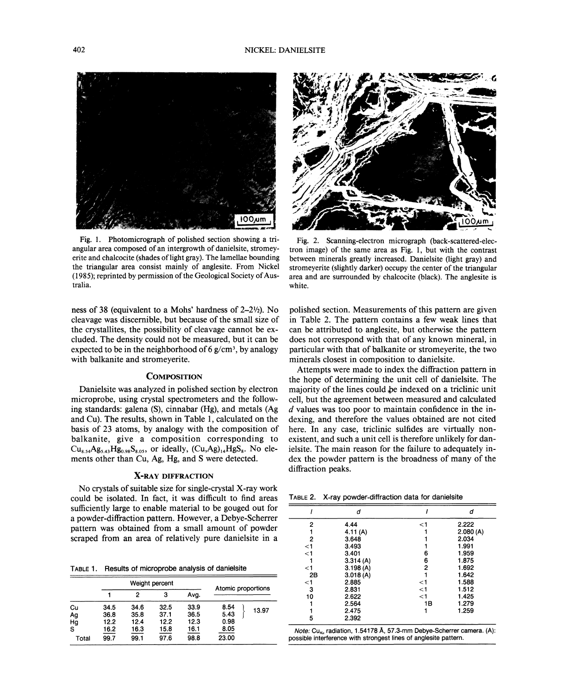

Fig. 1. Photomicrograph of polished section showing a triangular area composed of an intergrowth of danielsite, stromeyerite and chalcocite (shades of light gray). The lamellae bounding the triangular area consist mainly of anglesite. From Nickel (1985); reprinted by permission of the Geological Society of Australia.

ness of 38 (equivalent to a Mohs' hardness of  $2-2\frac{1}{2}$ ). No cleavage was discernible, but because of the small size of the crystallites, the possibility of cleavage cannot be excluded. The density could not be measured, but it can be expected to be in the neighborhood of 6  $g/cm^3$ , by analogy with balkanite and stromeyerite.

# **COMPOSITION**

Danielsite was analyzed in polished section by electron microprobe, using crystal spectrometers and the following standards: galena (S), cinnabar (Hg), and metals (Ag and Cu). The results, shown in Table 1, calculated on the basis of 23 atoms, by analogy with the composition of balkanite, give a composition corresponding to  $Cu_{8.54}Ag_{5.43}Hg_{0.98}S_{8.05}$ , or ideally,  $(Cu, Ag)_{14}HgS_8$ . No elements other than Cu, Ag, Hg, and S were detected.

### X-RAY DIFFRACTION

No crystals of suitable size for single-crystal X-ray work could be isolated. In fact, it was difficult to find areas sufficiently large to enable material to be gouged out for a powder-diffraction pattern. However, a Debye-Scherrer pattern was obtained from a small amount of powder scraped from an area of relatively pure daniel site in a

TABLE 1. Results of microprobe analysis of danielsite

|       | Weight percent |      |      |      | Atomic proportions |       |
|-------|----------------|------|------|------|--------------------|-------|
|       |                | 2    | з    | Ava. |                    |       |
| Cu    | 34.5           | 34.6 | 32.5 | 33.9 | 8.54               | 13.97 |
| Ag    | 36.8           | 35.8 | 37.1 | 36.5 | 5.43               |       |
| Hg    | 12.2           | 12.4 | 12.2 | 12.3 | 0.98               |       |
| s     | 16.2           | 16.3 | 15.8 | 16.1 | 8.05               |       |
| Total | 99.7           | 99.1 | 97.6 | 98.8 | 23.00              |       |



Fig. 2. Scanning-electron micrograph (back-scattered-electron image) of the same area as Fig. 1, but with the contrast between minerals greatly increased. Danielsite (light gray) and stromeyerite (slightly darker) occupy the center of the triangular area and are surrounded by chalcocite (black). The anglesite is white.

polished section. Measurements of this pattern are given in Table 2. The pattern contains a few weak lines that can be attributed to anglesite, but otherwise the pattern does not correspond with that of any known mineral, in particular with that of balkanite or stromeyerite, the two minerals closest in composition to danielsite.

Attempts were made to index the diffraction pattern in the hope of determining the unit cell of danielsite. The majority of the lines could be indexed on a triclinic unit cell, but the agreement between measured and calculated *d* values was too poor to maintain confidence in the indexing, and therefore the values obtained are not cited here. In any case, triclinic sulfides are virtually nonexistent, and such a unit cell is therefore unlikely for danielsite. The main reason for the failure to adequately index the powder pattern is the broadness of many of the diffraction peaks.

TABLE2. X-ray powder-diffraction data for danielsite

|          | d        |       | d        |
|----------|----------|-------|----------|
| 2        | 4.44     | <1    | 2.222    |
|          | 4.11(A)  |       | 2.080(A) |
| 2        | 3.648    |       | 2.034    |
| $<$ 1    | 3.493    |       | 1.991    |
| $\leq$ 1 | 3.401    | 6     | 1.959    |
|          | 3.314(A) | 6     | 1.875    |
| <1       | 3.198(A) | 2     | 1.692    |
| 2B       | 3.018(A) |       | 1.642    |
| $<$ 1    | 2.885    | <1    | 1.588    |
| 3        | 2.831    | $<$ 1 | 1.512    |
| 10       | 2.622    | $<$ 1 | 1.425    |
|          | 2.564    | 1Β    | 1.279    |
|          | 2.475    |       | 1.259    |
| 5        | 2.392    |       |          |

Note: Cu<sub>Kn</sub> radiation, 1.54178 Å, 57.3-mm Debye-Scherrer camera. (A): possible interference with strongest lines of anglesite pattern.